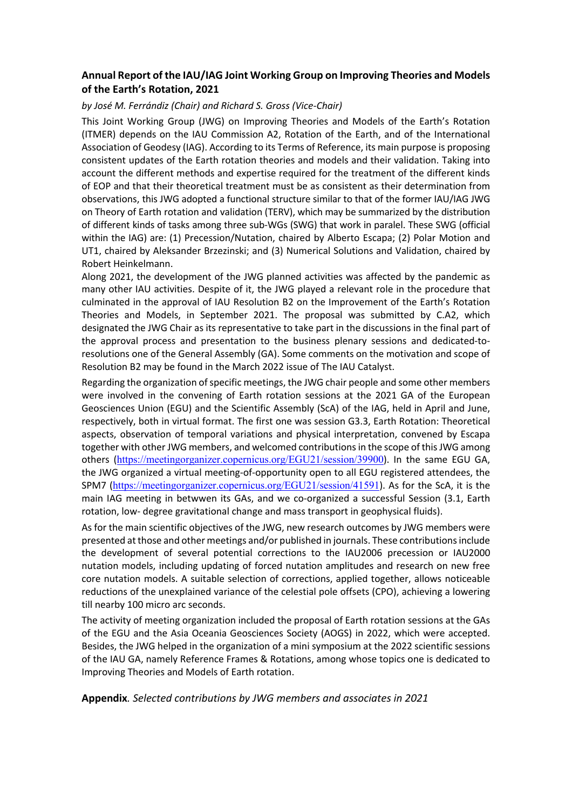## **Annual Report of the IAU/IAG Joint Working Group on Improving Theories and Models of the Earth's Rotation, 2021**

## *by José M. Ferrándiz (Chair) and Richard S. Gross (Vice-Chair)*

This Joint Working Group (JWG) on Improving Theories and Models of the Earth's Rotation (ITMER) depends on the IAU Commission A2, Rotation of the Earth, and of the International Association of Geodesy (IAG). According to its Terms of Reference, its main purpose is proposing consistent updates of the Earth rotation theories and models and their validation. Taking into account the different methods and expertise required for the treatment of the different kinds of EOP and that their theoretical treatment must be as consistent as their determination from observations, this JWG adopted a functional structure similar to that of the former IAU/IAG JWG on Theory of Earth rotation and validation (TERV), which may be summarized by the distribution of different kinds of tasks among three sub-WGs (SWG) that work in paralel. These SWG (official within the IAG) are: (1) Precession/Nutation, chaired by Alberto Escapa; (2) Polar Motion and UT1, chaired by Aleksander Brzezinski; and (3) Numerical Solutions and Validation, chaired by Robert Heinkelmann.

Along 2021, the development of the JWG planned activities was affected by the pandemic as many other IAU activities. Despite of it, the JWG played a relevant role in the procedure that culminated in the approval of IAU Resolution B2 on the Improvement of the Earth's Rotation Theories and Models, in September 2021. The proposal was submitted by C.A2, which designated the JWG Chair as its representative to take part in the discussions in the final part of the approval process and presentation to the business plenary sessions and dedicated-toresolutions one of the General Assembly (GA). Some comments on the motivation and scope of Resolution B2 may be found in the March 2022 issue of The IAU Catalyst.

Regarding the organization of specific meetings, the JWG chair people and some other members were involved in the convening of Earth rotation sessions at the 2021 GA of the European Geosciences Union (EGU) and the Scientific Assembly (ScA) of the IAG, held in April and June, respectively, both in virtual format. The first one was session G3.3, Earth Rotation: Theoretical aspects, observation of temporal variations and physical interpretation, convened by Escapa together with other JWG members, and welcomed contributions in the scope of this JWG among others (https://meetingorganizer.copernicus.org/EGU21/session/39900). In the same EGU GA, the JWG organized a virtual meeting-of-opportunity open to all EGU registered attendees, the SPM7 (https://meetingorganizer.copernicus.org/EGU21/session/41591). As for the ScA, it is the main IAG meeting in betwwen its GAs, and we co-organized a successful Session (3.1, Earth rotation, low- degree gravitational change and mass transport in geophysical fluids).

As for the main scientific objectives of the JWG, new research outcomes by JWG members were presented at those and other meetings and/or published in journals. These contributions include the development of several potential corrections to the IAU2006 precession or IAU2000 nutation models, including updating of forced nutation amplitudes and research on new free core nutation models. A suitable selection of corrections, applied together, allows noticeable reductions of the unexplained variance of the celestial pole offsets (CPO), achieving a lowering till nearby 100 micro arc seconds.

The activity of meeting organization included the proposal of Earth rotation sessions at the GAs of the EGU and the Asia Oceania Geosciences Society (AOGS) in 2022, which were accepted. Besides, the JWG helped in the organization of a mini symposium at the 2022 scientific sessions of the IAU GA, namely Reference Frames & Rotations, among whose topics one is dedicated to Improving Theories and Models of Earth rotation.

**Appendix***. Selected contributions by JWG members and associates in 2021*